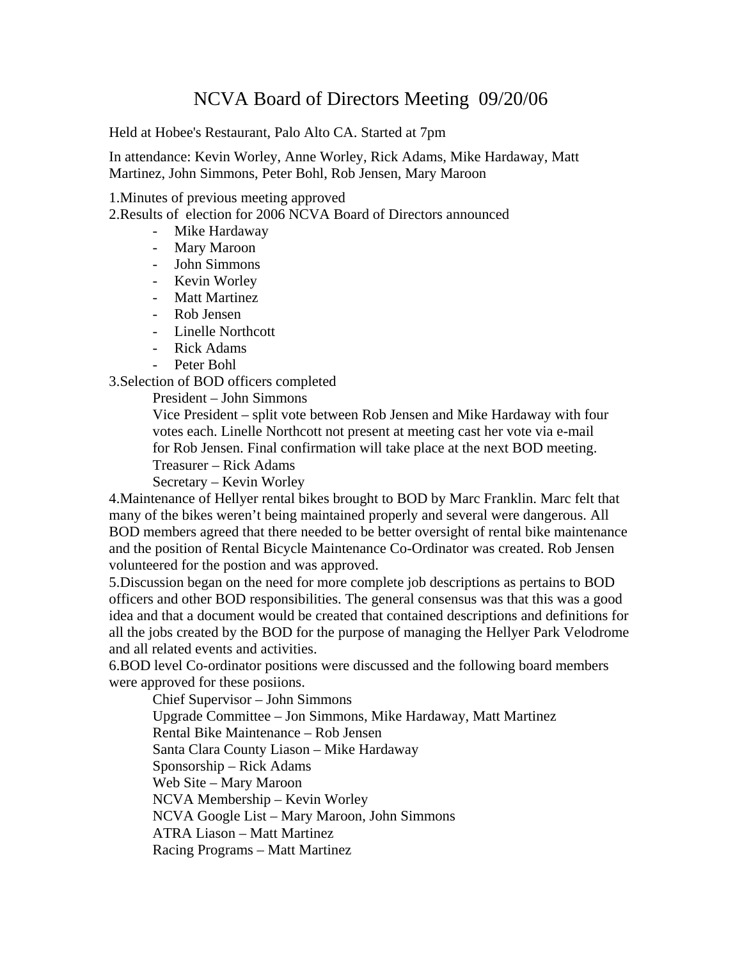## NCVA Board of Directors Meeting 09/20/06

Held at Hobee's Restaurant, Palo Alto CA. Started at 7pm

In attendance: Kevin Worley, Anne Worley, Rick Adams, Mike Hardaway, Matt Martinez, John Simmons, Peter Bohl, Rob Jensen, Mary Maroon

1.Minutes of previous meeting approved

2.Results of election for 2006 NCVA Board of Directors announced

- Mike Hardaway
- Mary Maroon
- John Simmons
- Kevin Worley
- Matt Martinez
- Rob Jensen
- Linelle Northcott
- Rick Adams
- Peter Bohl

3.Selection of BOD officers completed

President – John Simmons

 Vice President – split vote between Rob Jensen and Mike Hardaway with four votes each. Linelle Northcott not present at meeting cast her vote via e-mail for Rob Jensen. Final confirmation will take place at the next BOD meeting.

Treasurer – Rick Adams

Secretary – Kevin Worley

4.Maintenance of Hellyer rental bikes brought to BOD by Marc Franklin. Marc felt that many of the bikes weren't being maintained properly and several were dangerous. All BOD members agreed that there needed to be better oversight of rental bike maintenance and the position of Rental Bicycle Maintenance Co-Ordinator was created. Rob Jensen volunteered for the postion and was approved.

5.Discussion began on the need for more complete job descriptions as pertains to BOD officers and other BOD responsibilities. The general consensus was that this was a good idea and that a document would be created that contained descriptions and definitions for all the jobs created by the BOD for the purpose of managing the Hellyer Park Velodrome and all related events and activities.

6.BOD level Co-ordinator positions were discussed and the following board members were approved for these posiions.

 Chief Supervisor – John Simmons Upgrade Committee – Jon Simmons, Mike Hardaway, Matt Martinez Rental Bike Maintenance – Rob Jensen Santa Clara County Liason – Mike Hardaway Sponsorship – Rick Adams Web Site – Mary Maroon NCVA Membership – Kevin Worley NCVA Google List – Mary Maroon, John Simmons ATRA Liason – Matt Martinez Racing Programs – Matt Martinez